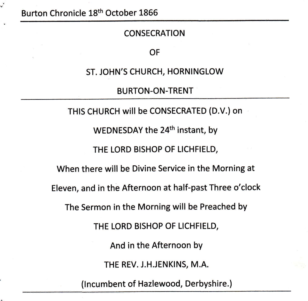Burton Chronicle 18th October 1866

#### **CONSECRATION**

#### OF

ST. JOHN'S CHURCH, HORNlNGLOW

BURTON.ON-TRENT

THIS CHURCH will be CONSECRATED (D.V.)on WEDNESDAY the 24<sup>th</sup> instant, by THE LORD BISHOP OF LICHFIELD, When there will be Divine Service in the Morning at Eleven, and in the Afternoon at half-past Three o'clock The Sermon in the Morning will be Preached by THE LORD BISHOP OF LICHFIELD, And in the Afternoon bY THE REV. J.H.JENKINS, M.A,

(lncumbent of Hazlewood, Derbyshire.)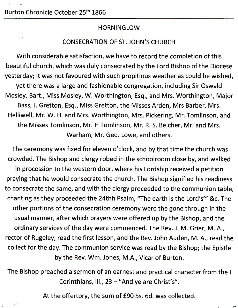## **HORNINGLOW**

## CONSECRATION OF ST. JOHN'S CHURCH

With considerable satisfaction, we have to record the completion of this beautiful church, which was duly consecrated by the Lord Bishop of the Diocese yesterday; it was not favoured with such propitious weather as could be wished, yet there was a large and fashionable congregation, including Sir Oswald Mosley, Bart., Miss Mosley, W. Worthington, Esq., and Mrs. Worthington, Major Bass, J. Gretton, Esq., Miss Gretton, the Misses Arden, Mrs Barber, Mrs. Helliwell, Mr. W. H. and Mrs. Worthington, Mrs. Pickering, Mr. Tomlinson, and the Misses Tomlinson, Mr. H Tomlinson, Mr. R. S. Belcher, Mr. and Mrs. Warham, Mr. Geo. Lowe, and others.

The ceremony was fixed for eleven o'clock, and by that time the church was crowded. The Bishop and clergy robed in the schoolroom close by, and walked in procession to the western door, where his Lordship received a petition praying that he would consecrate the church. The Bishop signified his readiness to consecrate the same, and with the clergy proceeded to the communion table, chanting as they proceeded the 24thh Psalm, "The earth is the Lord's"' &c. The other portions of the consecration ceremony were the gone through in the usual manner, after which prayers were offered up by the Bishop, and the ordinary services of the day were commenced. The Rev. J. M. Grier, M. A., rector of Rugeley, read the first lesson, and the Rev. John Auden, M. A., read the collect for the day. The communion service was read by the Bishop; the Epistle by the Rev. Wm. Jones, M.A., Vicar of Burton.

The Bishop preached a sermon of an earnest and practical character from the <sup>I</sup> Corinthians, iii., 23 - "And ye are Christ's".

At the offertory, the sum of £90 5s. 6d. was collected.